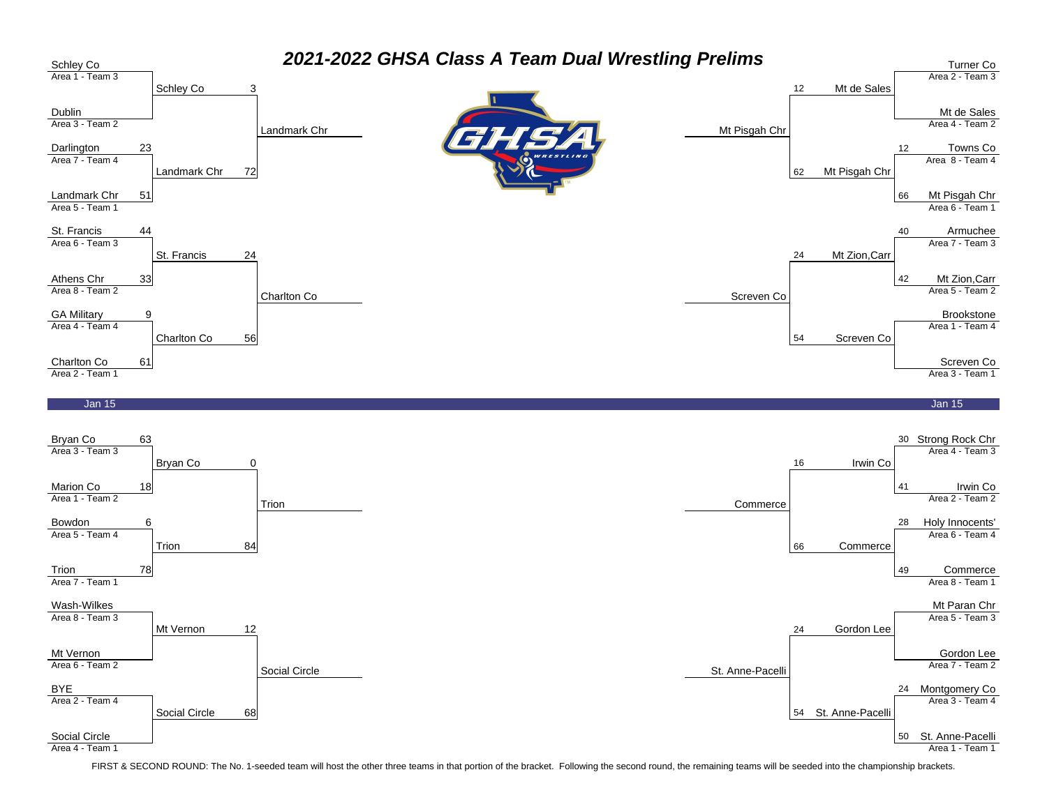

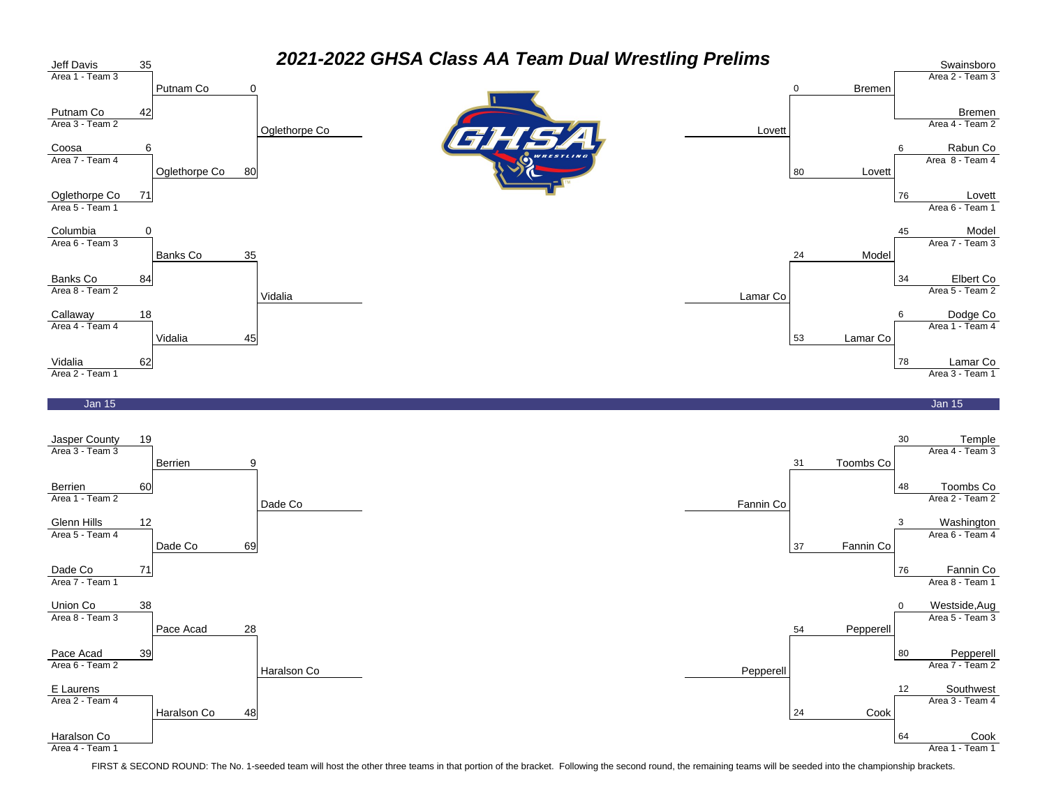

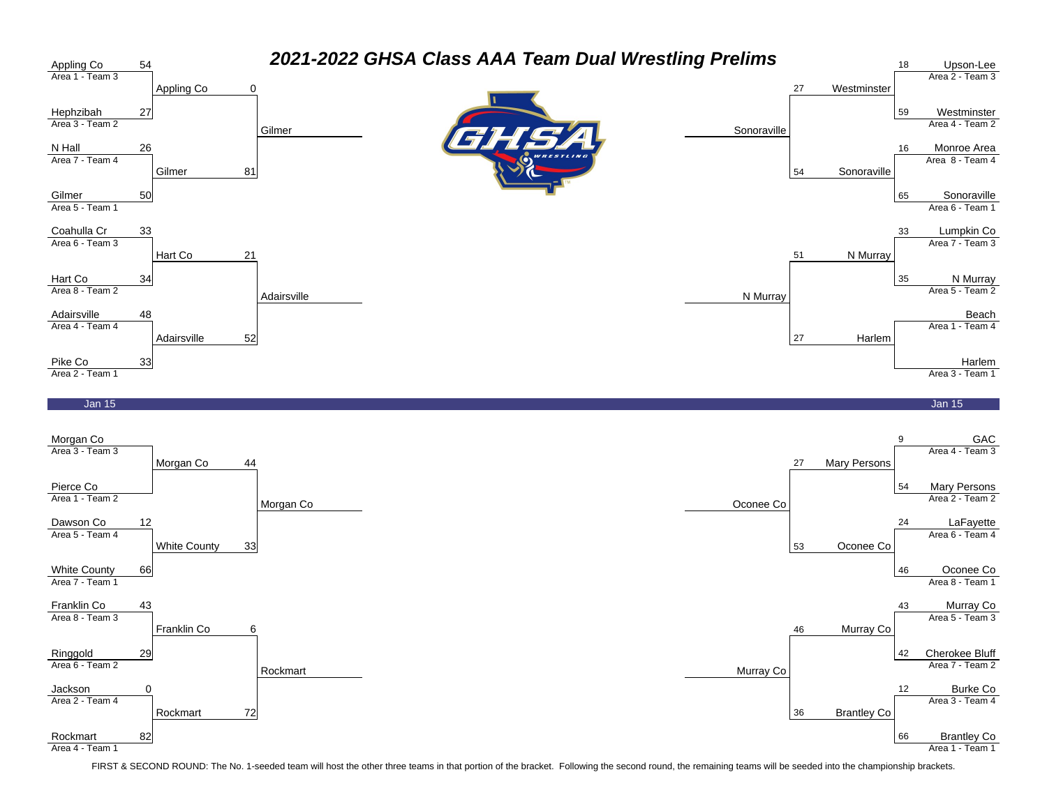

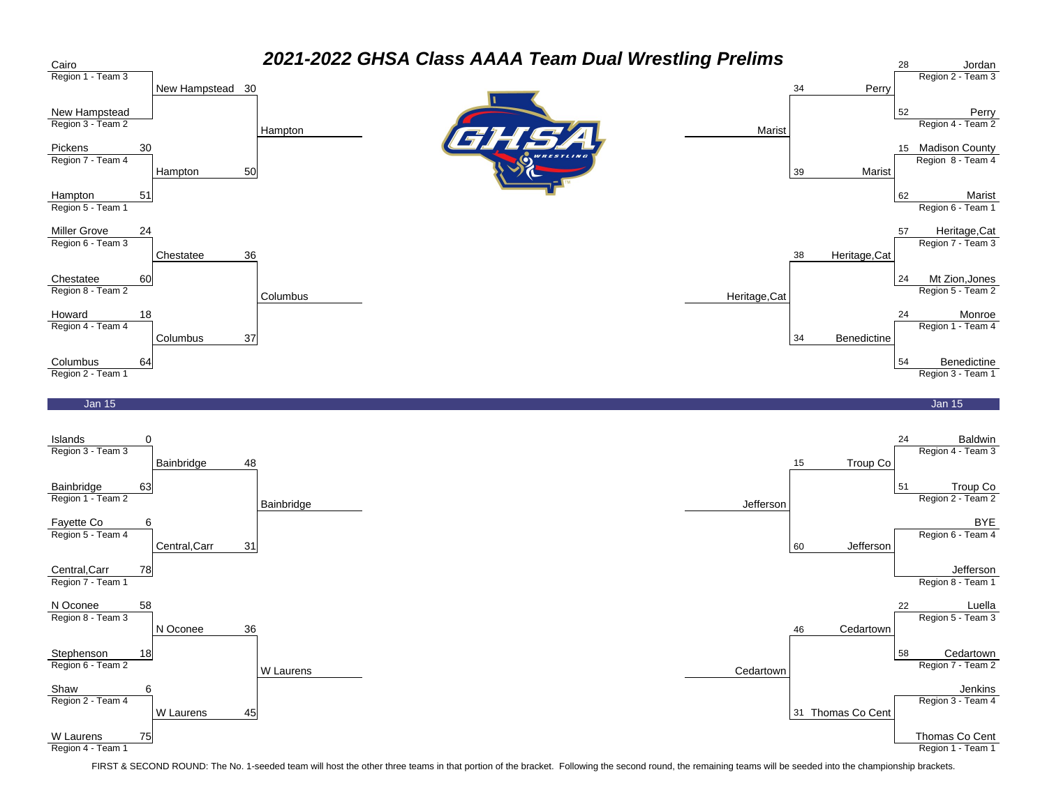



Region 4 - Team 1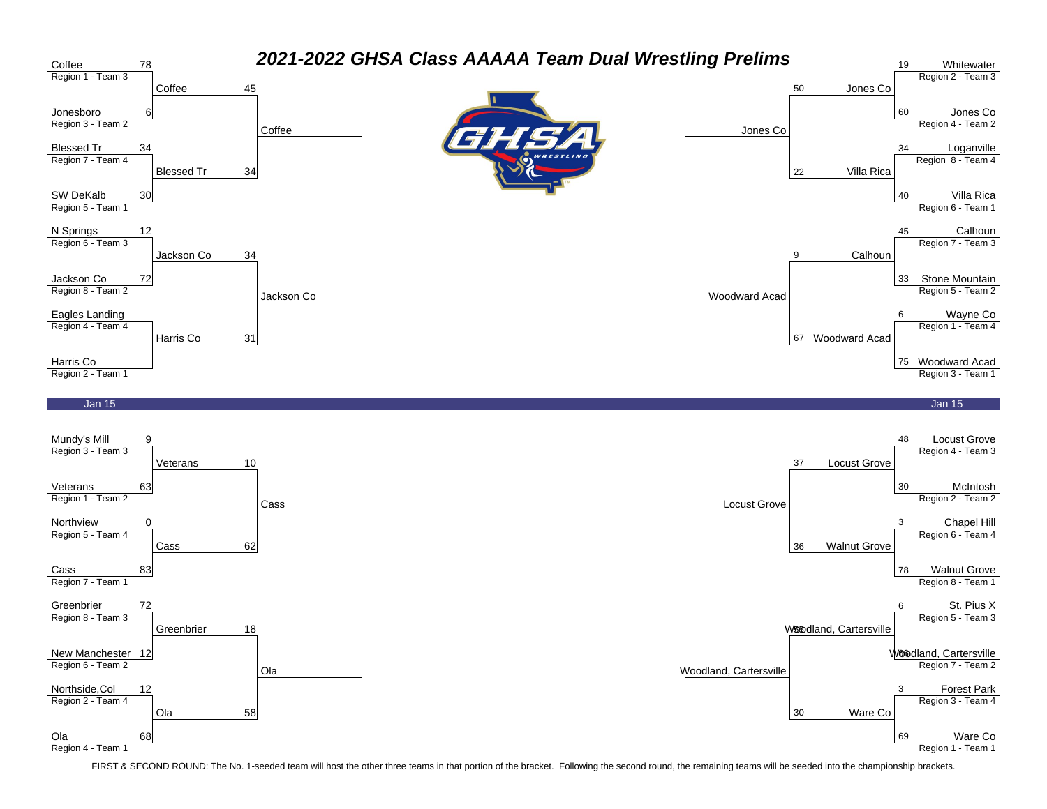

Region 4 - Team 1

Region 1 - Team 1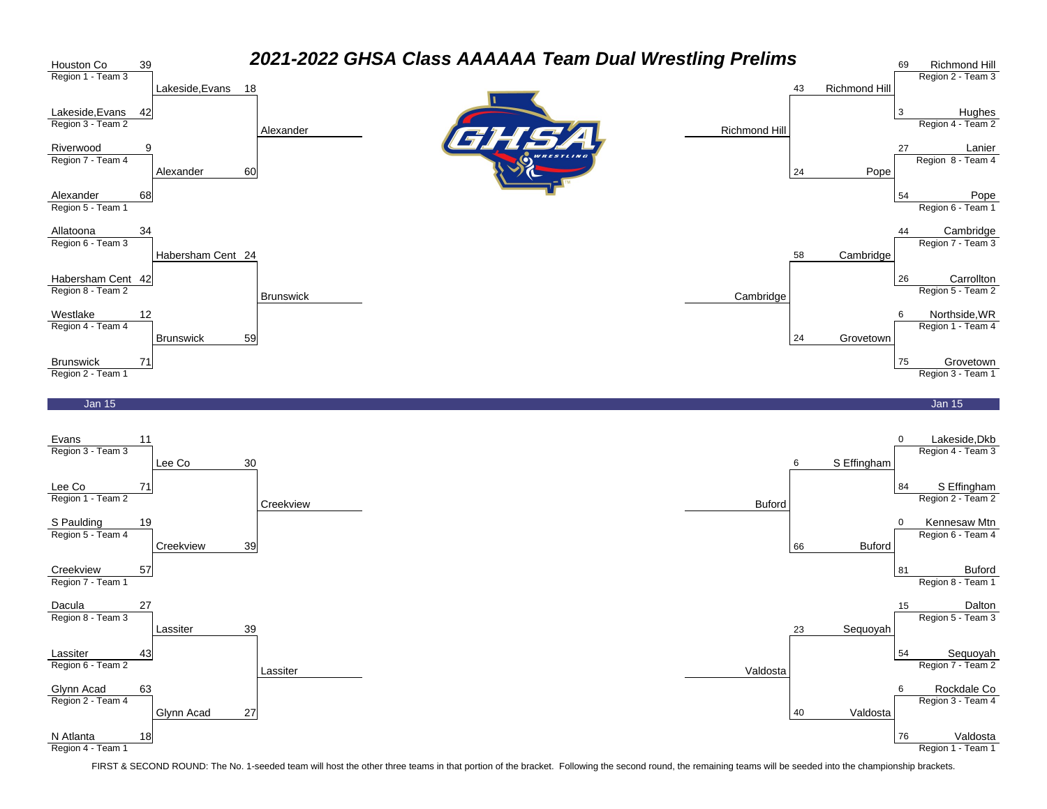

N Atlanta Region 4 - Team 1 18

43

Lassiter 39

Glynn Acad 27

63

Lassiter Region 6 - Team 2

Glynn Acad Region 2 - Team 4

FIRST & SECOND ROUND: The No. 1-seeded team will host the other three teams in that portion of the bracket. Following the second round, the remaining teams will be seeded into the championship brackets.

Lassiter Valdosta

Sequoyah Region 7 - Team 2

Rockdale Co Region 3 - Team 4

Valdosta Region 1 - Team 1

54

23 Sequoyah

40 Valdosta

6

76